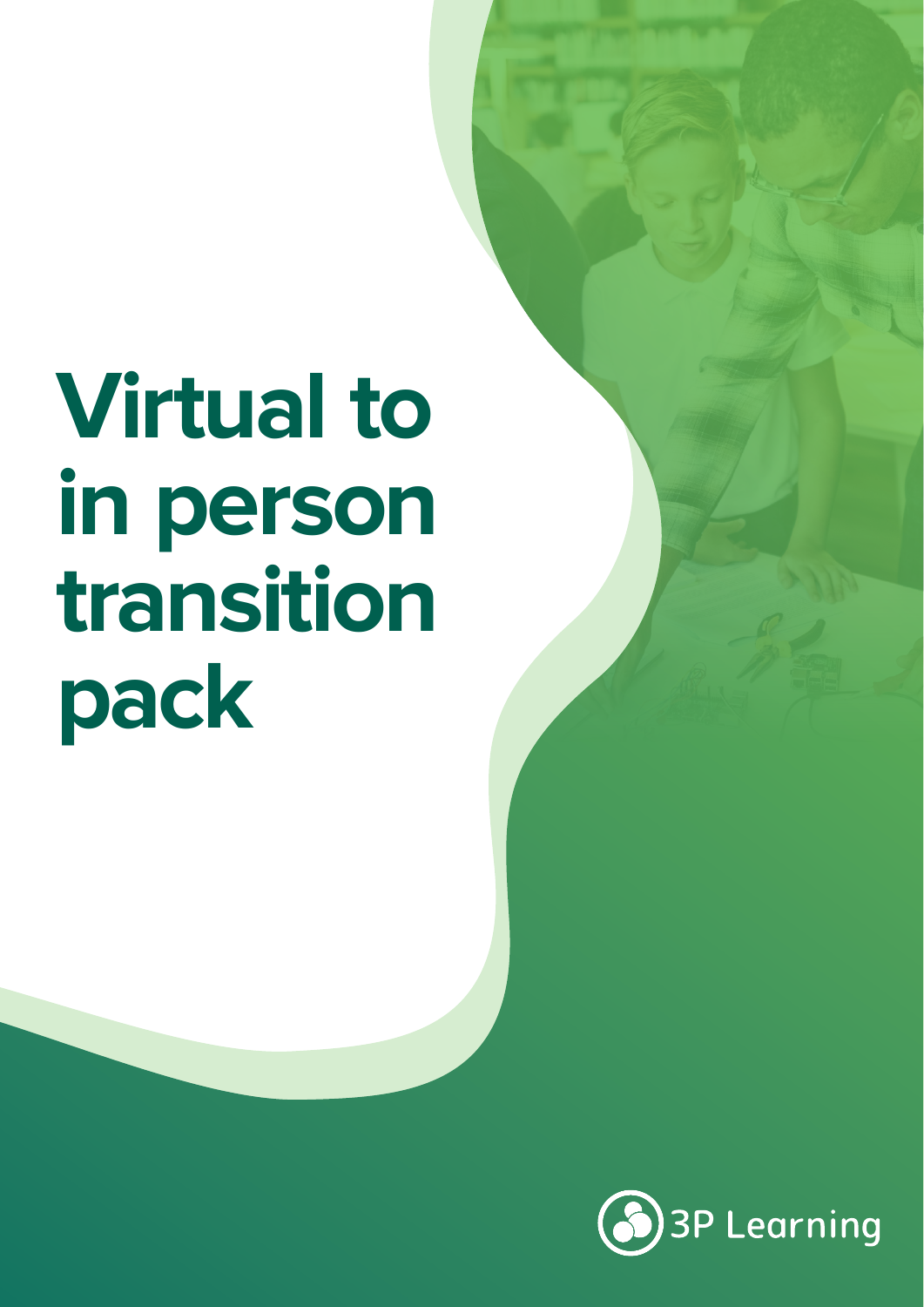# **Virtual to in person transition pack**

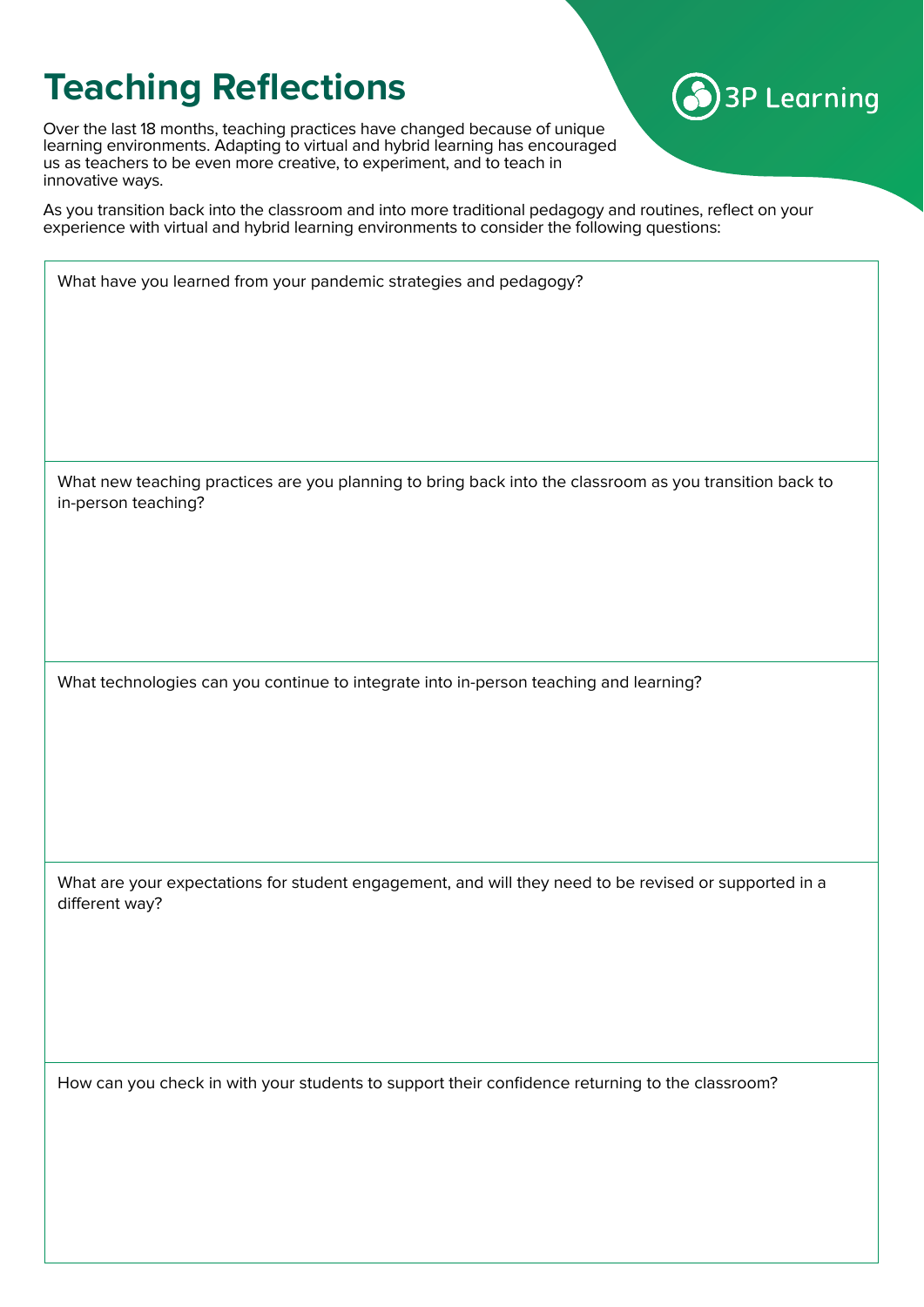## **Teaching Reflections**

Over the last 18 months, teaching practices have changed because of unique learning environments. Adapting to virtual and hybrid learning has encouraged us as teachers to be even more creative, to experiment, and to teach in innovative ways.

As you transition back into the classroom and into more traditional pedagogy and routines, reflect on your experience with virtual and hybrid learning environments to consider the following questions:

**3P Learning** 

| What have you learned from your pandemic strategies and pedagogy?                                                              |  |  |
|--------------------------------------------------------------------------------------------------------------------------------|--|--|
| What new teaching practices are you planning to bring back into the classroom as you transition back to<br>in-person teaching? |  |  |
| What technologies can you continue to integrate into in-person teaching and learning?                                          |  |  |
| What are your expectations for student engagement, and will they need to be revised or supported in a<br>different way?        |  |  |
| How can you check in with your students to support their confidence returning to the classroom?                                |  |  |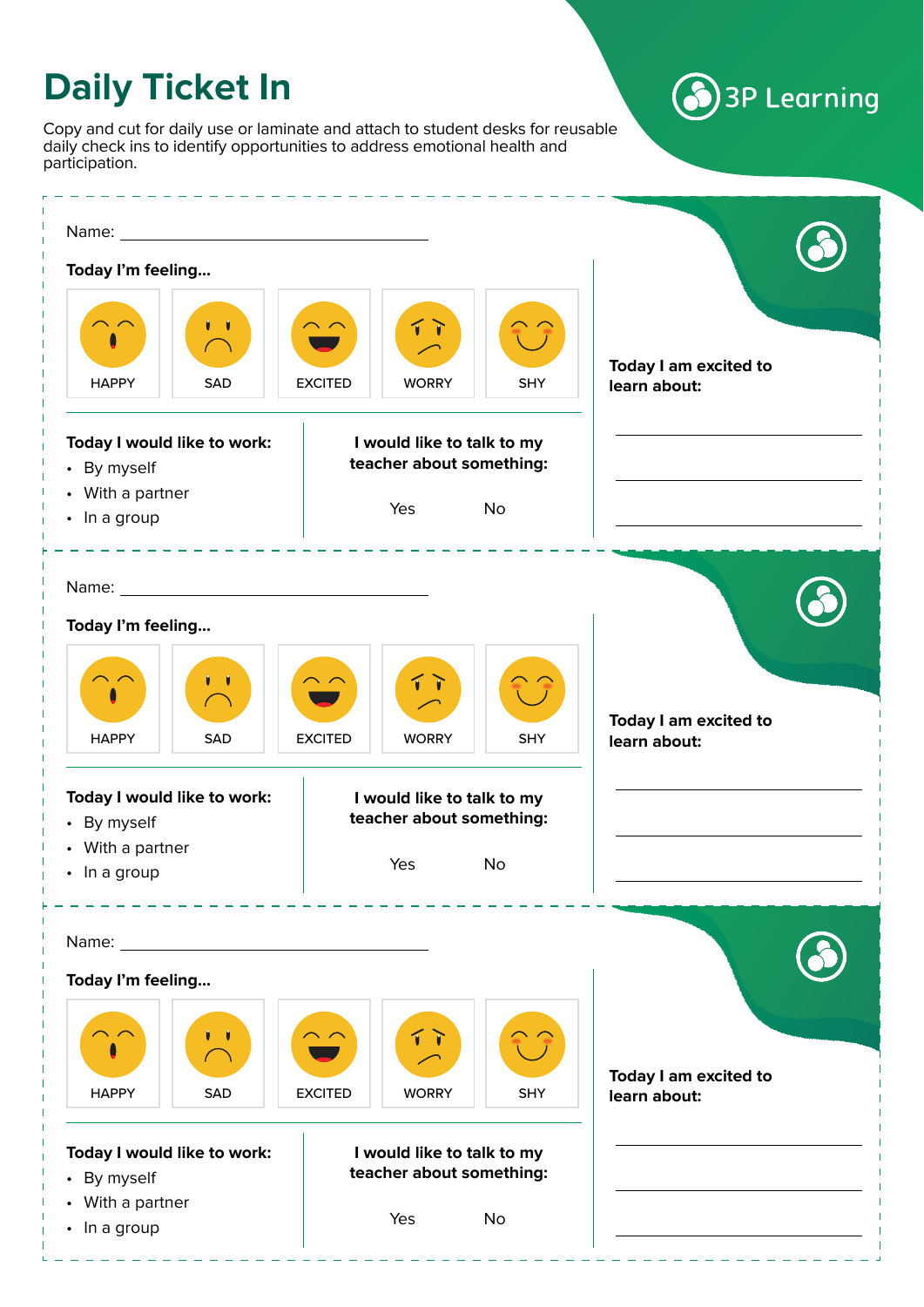# **Daily Ticket In**

Copy and cut for daily use or laminate and attach to student desks for reusable daily check ins to identify opportunities to address emotional health and participation.

#### Name: **Today I'm feeling...** ň **Today I am excited to**  HAPPY | SAD | EXCITED | WORRY | SHY **learn about: Today I would like to work: I would like to talk to my teacher about something:** • By myself • With a partner Yes No • In a group Name: **Today I'm feeling...** ň T. 1 **Today I am excited to**  HAPPY | SAD | EXCITED | WORRY | SHY **learn about: Today I would like to work: I would like to talk to my teacher about something:** • By myself • With a partner Yes No • In a group Name: **Today I'm feeling...** í P **Today I am excited to**  HAPPY | SAD | EXCITED | WORRY | SHY **learn about:Today I would like to work: I would like to talk to my teacher about something:** • By myself • With a partner Yes No • In a group

**3P Learning**